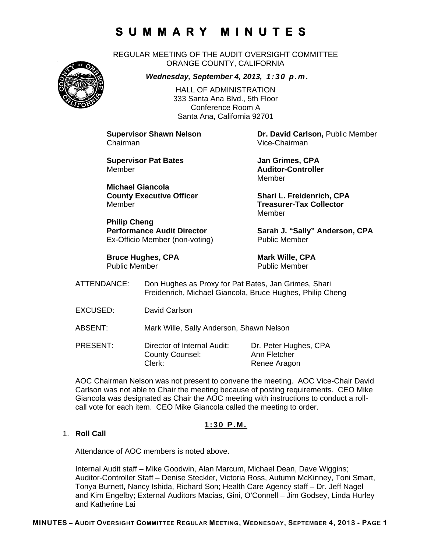REGULAR MEETING OF THE AUDIT OVERSIGHT COMMITTEE ORANGE COUNTY, CALIFORNIA



*Wednesday, September 4, 2013, 1:30 p.m.*

HALL OF ADMINISTRATION 333 Santa Ana Blvd., 5th Floor Conference Room A Santa Ana, California 92701

Chairman Vice-Chairman

**Supervisor Pat Bates Manual State State State State State State State State State State State State State State State State State State State State State State State State State State State State State State State State S** Member **Auditor-Controller** 

**Michael Giancola** Member **Treasurer-Tax Collector** 

**Philip Cheng**  Ex-Officio Member (non-voting) Public Member

**Bruce Hughes, CPA** Mark Wille, CPA<br>
Public Member<br>
Public Member

**Supervisor Shawn Nelson Dr. David Carlson,** Public Member

Member

**County Executive Officer Shari L. Freidenrich, CPA** Member

Performance Audit Director **Sarah J. "Sally" Anderson, CPA** 

Public Member

- ATTENDANCE: Don Hughes as Proxy for Pat Bates, Jan Grimes, Shari Freidenrich, Michael Giancola, Bruce Hughes, Philip Cheng
- EXCUSED: David Carlson

ABSENT: Mark Wille, Sally Anderson, Shawn Nelson

PRESENT: Director of Internal Audit: Dr. Peter Hughes, CPA County Counsel: Ann Fletcher Clerk: Renee Aragon

AOC Chairman Nelson was not present to convene the meeting. AOC Vice-Chair David Carlson was not able to Chair the meeting because of posting requirements. CEO Mike Giancola was designated as Chair the AOC meeting with instructions to conduct a rollcall vote for each item. CEO Mike Giancola called the meeting to order.

### **1:30 P.M.**

### 1. **Roll Call**

Attendance of AOC members is noted above.

Internal Audit staff – Mike Goodwin, Alan Marcum, Michael Dean, Dave Wiggins; Auditor-Controller Staff – Denise Steckler, Victoria Ross, Autumn McKinney, Toni Smart, Tonya Burnett, Nancy Ishida, Richard Son; Health Care Agency staff – Dr. Jeff Nagel and Kim Engelby; External Auditors Macias, Gini, O'Connell – Jim Godsey, Linda Hurley and Katherine Lai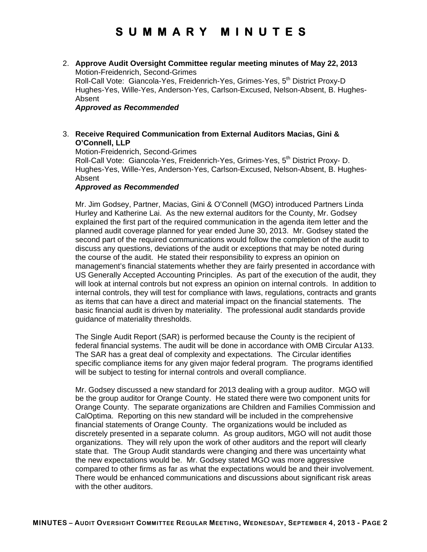2. **Approve Audit Oversight Committee regular meeting minutes of May 22, 2013** Motion-Freidenrich, Second-Grimes

Roll-Call Vote: Giancola-Yes, Freidenrich-Yes, Grimes-Yes, 5<sup>th</sup> District Proxy-D Hughes-Yes, Wille-Yes, Anderson-Yes, Carlson-Excused, Nelson-Absent, B. Hughes-Absent

### *Approved as Recommended*

### 3. **Receive Required Communication from External Auditors Macias, Gini & O'Connell, LLP**

Motion-Freidenrich, Second-Grimes

Roll-Call Vote: Giancola-Yes, Freidenrich-Yes, Grimes-Yes, 5<sup>th</sup> District Proxy- D. Hughes-Yes, Wille-Yes, Anderson-Yes, Carlson-Excused, Nelson-Absent, B. Hughes-Absent

### *Approved as Recommended*

Mr. Jim Godsey, Partner, Macias, Gini & O'Connell (MGO) introduced Partners Linda Hurley and Katherine Lai. As the new external auditors for the County, Mr. Godsey explained the first part of the required communication in the agenda item letter and the planned audit coverage planned for year ended June 30, 2013. Mr. Godsey stated the second part of the required communications would follow the completion of the audit to discuss any questions, deviations of the audit or exceptions that may be noted during the course of the audit. He stated their responsibility to express an opinion on management's financial statements whether they are fairly presented in accordance with US Generally Accepted Accounting Principles. As part of the execution of the audit, they will look at internal controls but not express an opinion on internal controls. In addition to internal controls, they will test for compliance with laws, regulations, contracts and grants as items that can have a direct and material impact on the financial statements. The basic financial audit is driven by materiality. The professional audit standards provide guidance of materiality thresholds.

The Single Audit Report (SAR) is performed because the County is the recipient of federal financial systems. The audit will be done in accordance with OMB Circular A133. The SAR has a great deal of complexity and expectations. The Circular identifies specific compliance items for any given major federal program. The programs identified will be subject to testing for internal controls and overall compliance.

Mr. Godsey discussed a new standard for 2013 dealing with a group auditor. MGO will be the group auditor for Orange County. He stated there were two component units for Orange County. The separate organizations are Children and Families Commission and CalOptima. Reporting on this new standard will be included in the comprehensive financial statements of Orange County. The organizations would be included as discretely presented in a separate column. As group auditors, MGO will not audit those organizations. They will rely upon the work of other auditors and the report will clearly state that. The Group Audit standards were changing and there was uncertainty what the new expectations would be. Mr. Godsey stated MGO was more aggressive compared to other firms as far as what the expectations would be and their involvement. There would be enhanced communications and discussions about significant risk areas with the other auditors.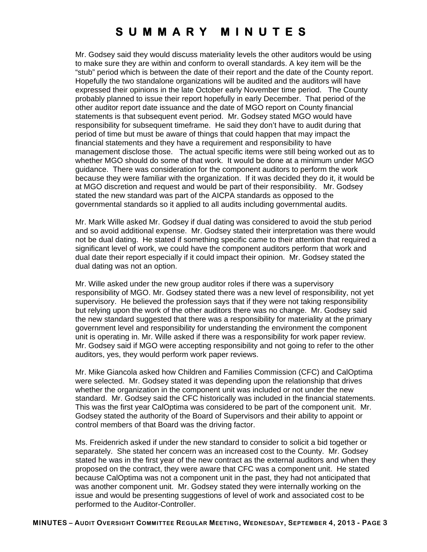Mr. Godsey said they would discuss materiality levels the other auditors would be using to make sure they are within and conform to overall standards. A key item will be the "stub" period which is between the date of their report and the date of the County report. Hopefully the two standalone organizations will be audited and the auditors will have expressed their opinions in the late October early November time period. The County probably planned to issue their report hopefully in early December. That period of the other auditor report date issuance and the date of MGO report on County financial statements is that subsequent event period. Mr. Godsey stated MGO would have responsibility for subsequent timeframe. He said they don't have to audit during that period of time but must be aware of things that could happen that may impact the financial statements and they have a requirement and responsibility to have management disclose those. The actual specific items were still being worked out as to whether MGO should do some of that work. It would be done at a minimum under MGO guidance. There was consideration for the component auditors to perform the work because they were familiar with the organization. If it was decided they do it, it would be at MGO discretion and request and would be part of their responsibility. Mr. Godsey stated the new standard was part of the AICPA standards as opposed to the governmental standards so it applied to all audits including governmental audits.

Mr. Mark Wille asked Mr. Godsey if dual dating was considered to avoid the stub period and so avoid additional expense. Mr. Godsey stated their interpretation was there would not be dual dating. He stated if something specific came to their attention that required a significant level of work, we could have the component auditors perform that work and dual date their report especially if it could impact their opinion. Mr. Godsey stated the dual dating was not an option.

Mr. Wille asked under the new group auditor roles if there was a supervisory responsibility of MGO. Mr. Godsey stated there was a new level of responsibility, not yet supervisory. He believed the profession says that if they were not taking responsibility but relying upon the work of the other auditors there was no change. Mr. Godsey said the new standard suggested that there was a responsibility for materiality at the primary government level and responsibility for understanding the environment the component unit is operating in. Mr. Wille asked if there was a responsibility for work paper review. Mr. Godsey said if MGO were accepting responsibility and not going to refer to the other auditors, yes, they would perform work paper reviews.

Mr. Mike Giancola asked how Children and Families Commission (CFC) and CalOptima were selected. Mr. Godsey stated it was depending upon the relationship that drives whether the organization in the component unit was included or not under the new standard. Mr. Godsey said the CFC historically was included in the financial statements. This was the first year CalOptima was considered to be part of the component unit. Mr. Godsey stated the authority of the Board of Supervisors and their ability to appoint or control members of that Board was the driving factor.

Ms. Freidenrich asked if under the new standard to consider to solicit a bid together or separately. She stated her concern was an increased cost to the County. Mr. Godsey stated he was in the first year of the new contract as the external auditors and when they proposed on the contract, they were aware that CFC was a component unit. He stated because CalOptima was not a component unit in the past, they had not anticipated that was another component unit. Mr. Godsey stated they were internally working on the issue and would be presenting suggestions of level of work and associated cost to be performed to the Auditor-Controller.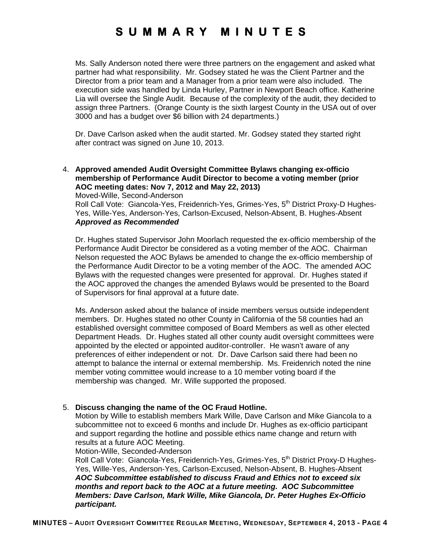Ms. Sally Anderson noted there were three partners on the engagement and asked what partner had what responsibility. Mr. Godsey stated he was the Client Partner and the Director from a prior team and a Manager from a prior team were also included. The execution side was handled by Linda Hurley, Partner in Newport Beach office. Katherine Lia will oversee the Single Audit. Because of the complexity of the audit, they decided to assign three Partners. (Orange County is the sixth largest County in the USA out of over 3000 and has a budget over \$6 billion with 24 departments.)

Dr. Dave Carlson asked when the audit started. Mr. Godsey stated they started right after contract was signed on June 10, 2013.

4. **Approved amended Audit Oversight Committee Bylaws changing ex-officio membership of Performance Audit Director to become a voting member (prior AOC meeting dates: Nov 7, 2012 and May 22, 2013)**

Moved-Wille, Second-Anderson Roll Call Vote: Giancola-Yes, Freidenrich-Yes, Grimes-Yes, 5<sup>th</sup> District Proxy-D Hughes-Yes, Wille-Yes, Anderson-Yes, Carlson-Excused, Nelson-Absent, B. Hughes-Absent *Approved as Recommended* 

Dr. Hughes stated Supervisor John Moorlach requested the ex-officio membership of the Performance Audit Director be considered as a voting member of the AOC. Chairman Nelson requested the AOC Bylaws be amended to change the ex-officio membership of the Performance Audit Director to be a voting member of the AOC. The amended AOC Bylaws with the requested changes were presented for approval. Dr. Hughes stated if the AOC approved the changes the amended Bylaws would be presented to the Board of Supervisors for final approval at a future date.

Ms. Anderson asked about the balance of inside members versus outside independent members. Dr. Hughes stated no other County in California of the 58 counties had an established oversight committee composed of Board Members as well as other elected Department Heads. Dr. Hughes stated all other county audit oversight committees were appointed by the elected or appointed auditor-controller. He wasn't aware of any preferences of either independent or not. Dr. Dave Carlson said there had been no attempt to balance the internal or external membership. Ms. Freidenrich noted the nine member voting committee would increase to a 10 member voting board if the membership was changed. Mr. Wille supported the proposed.

### 5. **Discuss changing the name of the OC Fraud Hotline.**

Motion by Wille to establish members Mark Wille, Dave Carlson and Mike Giancola to a subcommittee not to exceed 6 months and include Dr. Hughes as ex-officio participant and support regarding the hotline and possible ethics name change and return with results at a future AOC Meeting.

Motion-Wille, Seconded-Anderson

Roll Call Vote: Giancola-Yes, Freidenrich-Yes, Grimes-Yes, 5<sup>th</sup> District Proxy-D Hughes-Yes, Wille-Yes, Anderson-Yes, Carlson-Excused, Nelson-Absent, B. Hughes-Absent *AOC Subcommittee established to discuss Fraud and Ethics not to exceed six months and report back to the AOC at a future meeting. AOC Subcommittee Members: Dave Carlson, Mark Wille, Mike Giancola, Dr. Peter Hughes Ex-Officio participant.*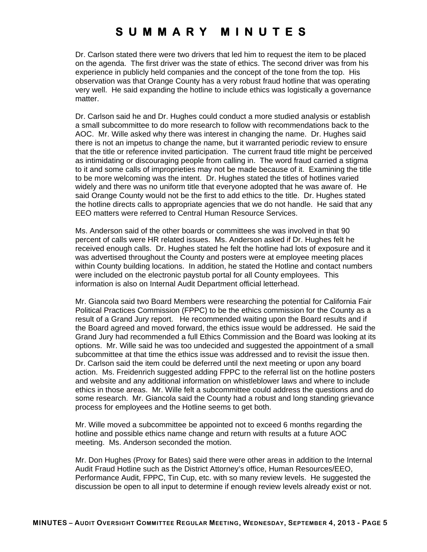Dr. Carlson stated there were two drivers that led him to request the item to be placed on the agenda. The first driver was the state of ethics. The second driver was from his experience in publicly held companies and the concept of the tone from the top. His observation was that Orange County has a very robust fraud hotline that was operating very well. He said expanding the hotline to include ethics was logistically a governance matter.

Dr. Carlson said he and Dr. Hughes could conduct a more studied analysis or establish a small subcommittee to do more research to follow with recommendations back to the AOC. Mr. Wille asked why there was interest in changing the name. Dr. Hughes said there is not an impetus to change the name, but it warranted periodic review to ensure that the title or reference invited participation. The current fraud title might be perceived as intimidating or discouraging people from calling in. The word fraud carried a stigma to it and some calls of improprieties may not be made because of it. Examining the title to be more welcoming was the intent. Dr. Hughes stated the titles of hotlines varied widely and there was no uniform title that everyone adopted that he was aware of. He said Orange County would not be the first to add ethics to the title. Dr. Hughes stated the hotline directs calls to appropriate agencies that we do not handle. He said that any EEO matters were referred to Central Human Resource Services.

Ms. Anderson said of the other boards or committees she was involved in that 90 percent of calls were HR related issues. Ms. Anderson asked if Dr. Hughes felt he received enough calls. Dr. Hughes stated he felt the hotline had lots of exposure and it was advertised throughout the County and posters were at employee meeting places within County building locations. In addition, he stated the Hotline and contact numbers were included on the electronic paystub portal for all County employees. This information is also on Internal Audit Department official letterhead.

Mr. Giancola said two Board Members were researching the potential for California Fair Political Practices Commission (FPPC) to be the ethics commission for the County as a result of a Grand Jury report. He recommended waiting upon the Board results and if the Board agreed and moved forward, the ethics issue would be addressed. He said the Grand Jury had recommended a full Ethics Commission and the Board was looking at its options. Mr. Wille said he was too undecided and suggested the appointment of a small subcommittee at that time the ethics issue was addressed and to revisit the issue then. Dr. Carlson said the item could be deferred until the next meeting or upon any board action. Ms. Freidenrich suggested adding FPPC to the referral list on the hotline posters and website and any additional information on whistleblower laws and where to include ethics in those areas. Mr. Wille felt a subcommittee could address the questions and do some research. Mr. Giancola said the County had a robust and long standing grievance process for employees and the Hotline seems to get both.

Mr. Wille moved a subcommittee be appointed not to exceed 6 months regarding the hotline and possible ethics name change and return with results at a future AOC meeting. Ms. Anderson seconded the motion.

Mr. Don Hughes (Proxy for Bates) said there were other areas in addition to the Internal Audit Fraud Hotline such as the District Attorney's office, Human Resources/EEO, Performance Audit, FPPC, Tin Cup, etc. with so many review levels. He suggested the discussion be open to all input to determine if enough review levels already exist or not.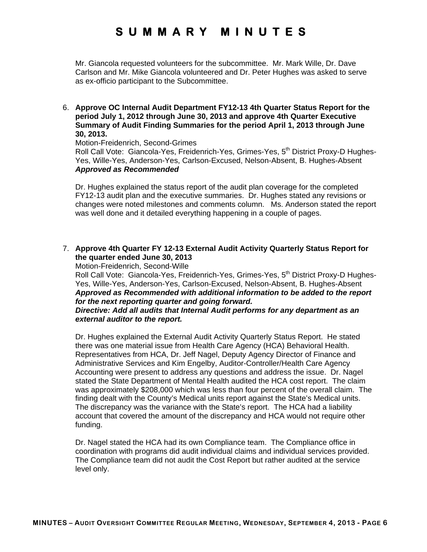Mr. Giancola requested volunteers for the subcommittee. Mr. Mark Wille, Dr. Dave Carlson and Mr. Mike Giancola volunteered and Dr. Peter Hughes was asked to serve as ex-officio participant to the Subcommittee.

6. **Approve OC Internal Audit Department FY12-13 4th Quarter Status Report for the period July 1, 2012 through June 30, 2013 and approve 4th Quarter Executive Summary of Audit Finding Summaries for the period April 1, 2013 through June 30, 2013.**

Motion-Freidenrich, Second-Grimes

Roll Call Vote: Giancola-Yes, Freidenrich-Yes, Grimes-Yes, 5<sup>th</sup> District Proxy-D Hughes-Yes, Wille-Yes, Anderson-Yes, Carlson-Excused, Nelson-Absent, B. Hughes-Absent *Approved as Recommended* 

Dr. Hughes explained the status report of the audit plan coverage for the completed FY12-13 audit plan and the executive summaries. Dr. Hughes stated any revisions or changes were noted milestones and comments column. Ms. Anderson stated the report was well done and it detailed everything happening in a couple of pages.

### 7. **Approve 4th Quarter FY 12-13 External Audit Activity Quarterly Status Report for the quarter ended June 30, 2013**

Motion-Freidenrich, Second-Wille

Roll Call Vote: Giancola-Yes, Freidenrich-Yes, Grimes-Yes, 5<sup>th</sup> District Proxy-D Hughes-Yes, Wille-Yes, Anderson-Yes, Carlson-Excused, Nelson-Absent, B. Hughes-Absent *Approved as Recommended with additional information to be added to the report for the next reporting quarter and going forward.* 

### *Directive: Add all audits that Internal Audit performs for any department as an external auditor to the report.*

Dr. Hughes explained the External Audit Activity Quarterly Status Report. He stated there was one material issue from Health Care Agency (HCA) Behavioral Health. Representatives from HCA, Dr. Jeff Nagel, Deputy Agency Director of Finance and Administrative Services and Kim Engelby, Auditor-Controller/Health Care Agency Accounting were present to address any questions and address the issue. Dr. Nagel stated the State Department of Mental Health audited the HCA cost report. The claim was approximately \$208,000 which was less than four percent of the overall claim. The finding dealt with the County's Medical units report against the State's Medical units. The discrepancy was the variance with the State's report. The HCA had a liability account that covered the amount of the discrepancy and HCA would not require other funding.

Dr. Nagel stated the HCA had its own Compliance team. The Compliance office in coordination with programs did audit individual claims and individual services provided. The Compliance team did not audit the Cost Report but rather audited at the service level only.